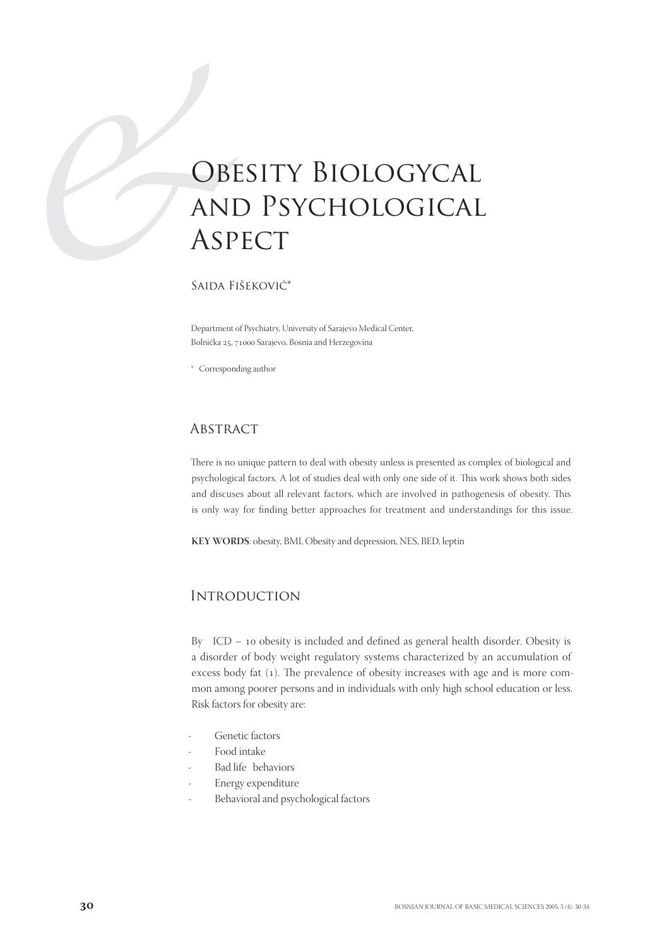# **OBI**<br>
ANI<br>
ASP<br>
SAIDA FI OBESITY BIOLOGYCAL and Psychological **ASPECT**

Saida Fišeković\*

Department of Psychiatry, University of Sarajevo Medical Center, Bolnička 25, 71000 Sarajevo, Bosnia and Herzegovina

\* Corresponding author

## **ABSTRACT**

There is no unique pattern to deal with obesity unless is presented as complex of biological and psychological factors. A lot of studies deal with only one side of it. This work shows both sides and discuses about all relevant factors, which are involved in pathogenesis of obesity. This is only way for finding better approaches for treatment and understandings for this issue.

**KEY WORDS**: obesity, BMI, Obesity and depression, NES, BED, leptin

# **INTRODUCTION**

By  $ICD - 10$  obesity is included and defined as general health disorder. Obesity is a disorder of body weight regulatory systems characterized by an accumulation of excess body fat (1). The prevalence of obesity increases with age and is more common among poorer persons and in individuals with only high school education or less. Risk factors for obesity are:

- Genetic factors
- Food intake
- Bad life behaviors
- Energy expenditure
- Behavioral and psychological factors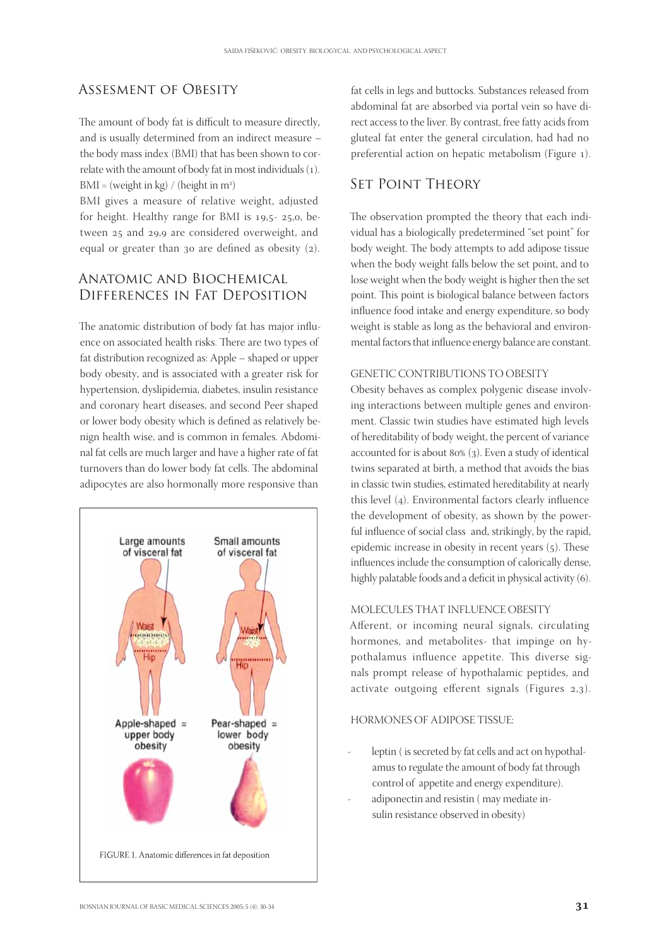# Assesment of Obesity

The amount of body fat is difficult to measure directly, and is usually determined from an indirect measure – the body mass index (BMI) that has been shown to correlate with the amount of body fat in most individuals (1).  $BMI = (weight in kg) / (height in m<sup>2</sup>)$ 

BMI gives a measure of relative weight, adjusted for height. Healthy range for BMI is  $19.5 - 25.0$ , between 25 and 29,9 are considered overweight, and equal or greater than  $30$  are defined as obesity  $(2)$ .

# Anatomic and Biochemical Differences in Fat Deposition

The anatomic distribution of body fat has major influence on associated health risks. There are two types of fat distribution recognized as: Apple – shaped or upper body obesity, and is associated with a greater risk for hypertension, dyslipidemia, diabetes, insulin resistance and coronary heart diseases, and second Peer shaped or lower body obesity which is defined as relatively benign health wise, and is common in females. Abdominal fat cells are much larger and have a higher rate of fat turnovers than do lower body fat cells. The abdominal adipocytes are also hormonally more responsive than



fat cells in legs and buttocks. Substances released from abdominal fat are absorbed via portal vein so have direct access to the liver. By contrast, free fatty acids from gluteal fat enter the general circulation, had had no preferential action on hepatic metabolism (Figure ).

## Set Point Theory

The observation prompted the theory that each individual has a biologically predetermined "set point" for body weight. The body attempts to add adipose tissue when the body weight falls below the set point, and to lose weight when the body weight is higher then the set point. This point is biological balance between factors influence food intake and energy expenditure, so body weight is stable as long as the behavioral and environmental factors that influence energy balance are constant.

#### GENETIC CONTRIBUTIONS TO OBESITY

Obesity behaves as complex polygenic disease involving interactions between multiple genes and environment. Classic twin studies have estimated high levels of hereditability of body weight, the percent of variance accounted for is about  $80\%$  (3). Even a study of identical twins separated at birth, a method that avoids the bias in classic twin studies, estimated hereditability at nearly this level  $(4)$ . Environmental factors clearly influence the development of obesity, as shown by the powerful influence of social class and, strikingly, by the rapid, epidemic increase in obesity in recent years  $(5)$ . These influences include the consumption of calorically dense, highly palatable foods and a deficit in physical activity (6).

#### MOLECULES THAT INFLUENCE OBESITY

Afferent, or incoming neural signals, circulating hormones, and metabolites- that impinge on hypothalamus influence appetite. This diverse signals prompt release of hypothalamic peptides, and activate outgoing efferent signals (Figures  $2,3$ ).

### HORMONES OF ADIPOSE TISSUE:

- leptin ( is secreted by fat cells and act on hypothalamus to regulate the amount of body fat through control of appetite and energy expenditure).
- adiponectin and resistin (may mediate insulin resistance observed in obesity)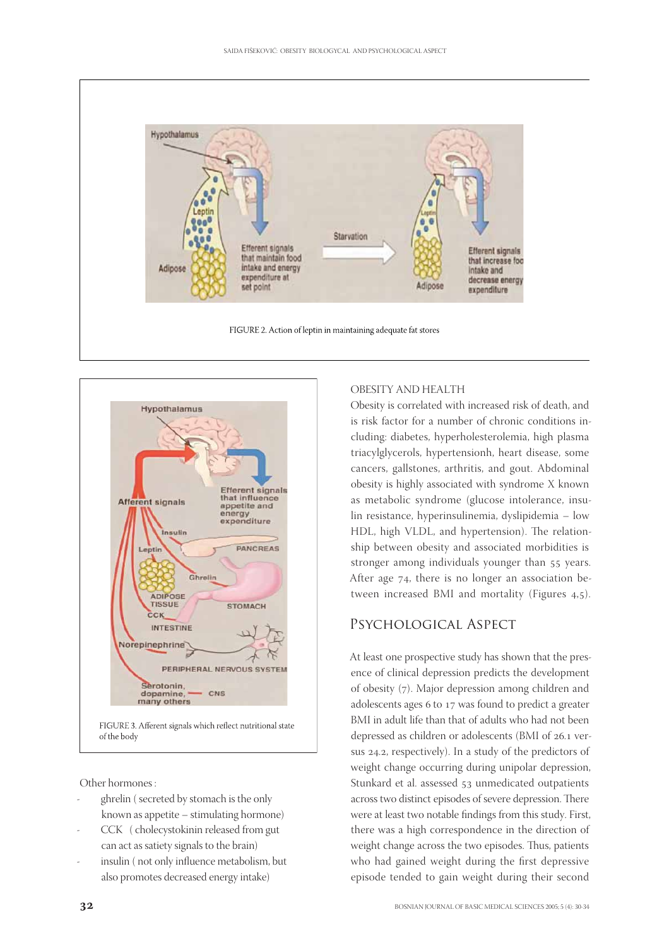



Other hormones :

- ghrelin (secreted by stomach is the only known as appetite – stimulating hormone)
- CCK (cholecystokinin released from gut can act as satiety signals to the brain)
- insulin (not only influence metabolism, but also promotes decreased energy intake)

#### OBESITY AND HEALTH

Obesity is correlated with increased risk of death, and is risk factor for a number of chronic conditions including: diabetes, hyperholesterolemia, high plasma triacylglycerols, hypertensionh, heart disease, some cancers, gallstones, arthritis, and gout. Abdominal obesity is highly associated with syndrome X known as metabolic syndrome (glucose intolerance, insulin resistance, hyperinsulinemia, dyslipidemia – low HDL, high VLDL, and hypertension). The relationship between obesity and associated morbidities is stronger among individuals younger than 55 years. After age  $74$ , there is no longer an association between increased BMI and mortality (Figures 4,5).

## Psychological Aspect

At least one prospective study has shown that the presence of clinical depression predicts the development of obesity (7). Major depression among children and adolescents ages 6 to 17 was found to predict a greater BMI in adult life than that of adults who had not been depressed as children or adolescents (BMI of 26.1 versus 24.2, respectively). In a study of the predictors of weight change occurring during unipolar depression, Stunkard et al. assessed 53 unmedicated outpatients across two distinct episodes of severe depression. There were at least two notable findings from this study. First, there was a high correspondence in the direction of weight change across the two episodes. Thus, patients who had gained weight during the first depressive episode tended to gain weight during their second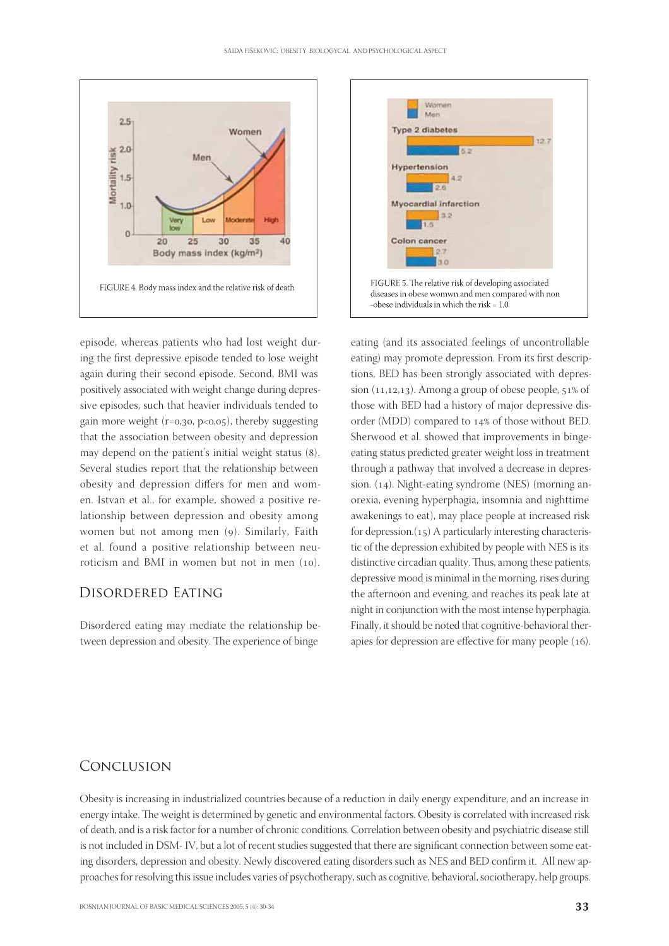

episode, whereas patients who had lost weight during the first depressive episode tended to lose weight again during their second episode. Second, BMI was positively associated with weight change during depressive episodes, such that heavier individuals tended to gain more weight ( $r=0, 30, p<0, 05$ ), thereby suggesting that the association between obesity and depression may depend on the patient's initial weight status (8). Several studies report that the relationship between obesity and depression differs for men and women. Istvan et al., for example, showed a positive relationship between depression and obesity among women but not among men (9). Similarly, Faith et al. found a positive relationship between neuroticism and BMI in women but not in men  $(10)$ .

# Disordered Eating

Disordered eating may mediate the relationship between depression and obesity. The experience of binge



eating (and its associated feelings of uncontrollable eating) may promote depression. From its first descriptions, BED has been strongly associated with depression  $(11,12,13)$ . Among a group of obese people,  $51\%$  of those with BED had a history of major depressive disorder (MDD) compared to 14% of those without BED. Sherwood et al. showed that improvements in bingeeating status predicted greater weight loss in treatment through a pathway that involved a decrease in depression.  $(14)$ . Night-eating syndrome (NES) (morning anorexia, evening hyperphagia, insomnia and nighttime awakenings to eat), may place people at increased risk for depression. $(15)$  A particularly interesting characteristic of the depression exhibited by people with NES is its distinctive circadian quality. Thus, among these patients, depressive mood is minimal in the morning, rises during the afternoon and evening, and reaches its peak late at night in conjunction with the most intense hyperphagia. Finally, it should be noted that cognitive-behavioral therapies for depression are effective for many people  $(16)$ .

## Conclusion

Obesity is increasing in industrialized countries because of a reduction in daily energy expenditure, and an increase in energy intake. The weight is determined by genetic and environmental factors. Obesity is correlated with increased risk of death, and is a risk factor for a number of chronic conditions. Correlation between obesity and psychiatric disease still is not included in DSM- IV, but a lot of recent studies suggested that there are significant connection between some eating disorders, depression and obesity. Newly discovered eating disorders such as NES and BED confirm it. All new approaches for resolving this issue includes varies of psychotherapy, such as cognitive, behavioral, sociotherapy, help groups.